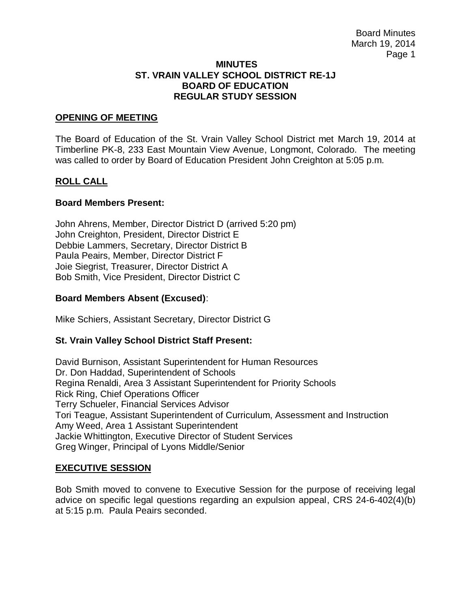#### **MINUTES ST. VRAIN VALLEY SCHOOL DISTRICT RE-1J BOARD OF EDUCATION REGULAR STUDY SESSION**

## **OPENING OF MEETING**

The Board of Education of the St. Vrain Valley School District met March 19, 2014 at Timberline PK-8, 233 East Mountain View Avenue, Longmont, Colorado. The meeting was called to order by Board of Education President John Creighton at 5:05 p.m.

## **ROLL CALL**

## **Board Members Present:**

John Ahrens, Member, Director District D (arrived 5:20 pm) John Creighton, President, Director District E Debbie Lammers, Secretary, Director District B Paula Peairs, Member, Director District F Joie Siegrist, Treasurer, Director District A Bob Smith, Vice President, Director District C

## **Board Members Absent (Excused)**:

Mike Schiers, Assistant Secretary, Director District G

# **St. Vrain Valley School District Staff Present:**

David Burnison, Assistant Superintendent for Human Resources Dr. Don Haddad, Superintendent of Schools Regina Renaldi, Area 3 Assistant Superintendent for Priority Schools Rick Ring, Chief Operations Officer Terry Schueler, Financial Services Advisor Tori Teague, Assistant Superintendent of Curriculum, Assessment and Instruction Amy Weed, Area 1 Assistant Superintendent Jackie Whittington, Executive Director of Student Services Greg Winger, Principal of Lyons Middle/Senior

#### **EXECUTIVE SESSION**

Bob Smith moved to convene to Executive Session for the purpose of receiving legal advice on specific legal questions regarding an expulsion appeal, CRS 24-6-402(4)(b) at 5:15 p.m. Paula Peairs seconded.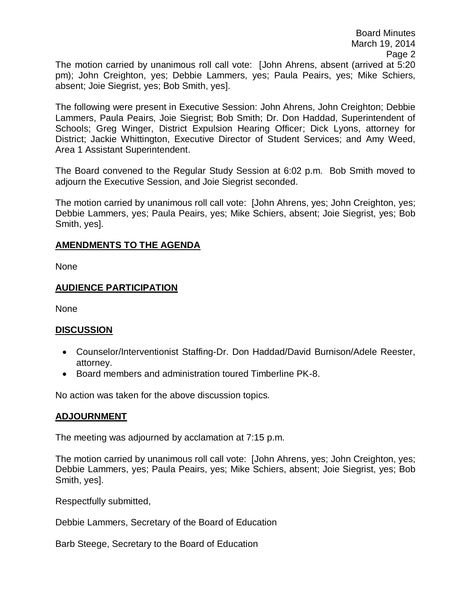The motion carried by unanimous roll call vote: [John Ahrens, absent (arrived at 5:20 pm); John Creighton, yes; Debbie Lammers, yes; Paula Peairs, yes; Mike Schiers, absent; Joie Siegrist, yes; Bob Smith, yes].

The following were present in Executive Session: John Ahrens, John Creighton; Debbie Lammers, Paula Peairs, Joie Siegrist; Bob Smith; Dr. Don Haddad, Superintendent of Schools; Greg Winger, District Expulsion Hearing Officer; Dick Lyons, attorney for District; Jackie Whittington, Executive Director of Student Services; and Amy Weed, Area 1 Assistant Superintendent.

The Board convened to the Regular Study Session at 6:02 p.m. Bob Smith moved to adjourn the Executive Session, and Joie Siegrist seconded.

The motion carried by unanimous roll call vote: [John Ahrens, yes; John Creighton, yes; Debbie Lammers, yes; Paula Peairs, yes; Mike Schiers, absent; Joie Siegrist, yes; Bob Smith, yes].

## **AMENDMENTS TO THE AGENDA**

None

# **AUDIENCE PARTICIPATION**

None

# **DISCUSSION**

- Counselor/Interventionist Staffing-Dr. Don Haddad/David Burnison/Adele Reester, attorney.
- Board members and administration toured Timberline PK-8.

No action was taken for the above discussion topics.

#### **ADJOURNMENT**

The meeting was adjourned by acclamation at 7:15 p.m.

The motion carried by unanimous roll call vote: [John Ahrens, yes; John Creighton, yes; Debbie Lammers, yes; Paula Peairs, yes; Mike Schiers, absent; Joie Siegrist, yes; Bob Smith, yes].

Respectfully submitted,

Debbie Lammers, Secretary of the Board of Education

Barb Steege, Secretary to the Board of Education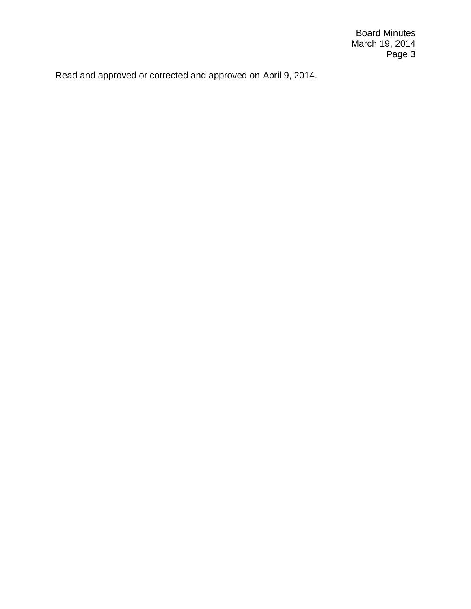Board Minutes March 19, 2014 Page 3

Read and approved or corrected and approved on April 9, 2014.